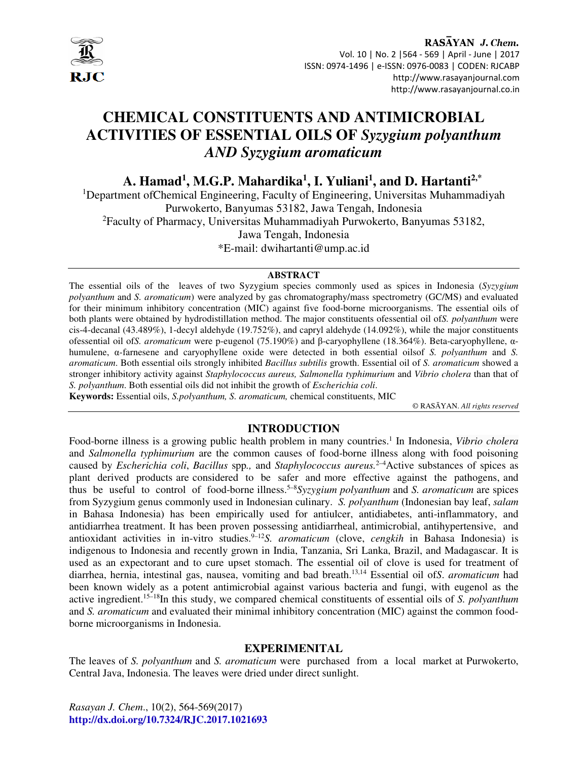

#### RASAYAN J. Chem. Vol. 10 | No. 2 |564 - 569 | April - June | 2017 ISSN: 0974-1496 | e-ISSN: 0976-0083 | CODEN: RJCABP http://www.rasayanjournal.com http://www.rasayanjournal.co.in

# **CHEMICAL CONSTITUENTS AND ANTIMICROBIAL ACTIVITIES OF ESSENTIAL OILS OF** *Syzygium polyanthum AND Syzygium aromaticum*

**A. Hamad<sup>1</sup> , M.G.P. Mahardika<sup>1</sup> , I. Yuliani<sup>1</sup> , and D. Hartanti2,\***

<sup>1</sup>Department ofChemical Engineering, Faculty of Engineering, Universitas Muhammadiyah Purwokerto, Banyumas 53182, Jawa Tengah, Indonesia <sup>2</sup>Faculty of Pharmacy, Universitas Muhammadiyah Purwokerto, Banyumas 53182, Jawa Tengah, Indonesia \*E-mail: dwihartanti@ump.ac.id

#### **ABSTRACT**

The essential oils of the leaves of two Syzygium species commonly used as spices in Indonesia (*Syzygium polyanthum* and *S. aromaticum*) were analyzed by gas chromatography/mass spectrometry (GC/MS) and evaluated for their minimum inhibitory concentration (MIC) against five food-borne microorganisms. The essential oils of both plants were obtained by hydrodistillation method. The major constituents ofessential oil of*S. polyanthum* were cis-4-decanal (43.489%), 1-decyl aldehyde (19.752%), and capryl aldehyde (14.092%), while the major constituents ofessential oil of*S. aromaticum* were p-eugenol (75.190%) and β-caryophyllene (18.364%). Beta-caryophyllene, αhumulene, α-farnesene and caryophyllene oxide were detected in both essential oilsof *S. polyanthum* and *S. aromaticum*. Both essential oils strongly inhibited *Bacillus subtilis* growth. Essential oil of *S. aromaticum* showed a stronger inhibitory activity against *Staphylococcus aureus, Salmonella typhimurium* and *Vibrio cholera* than that of *S. polyanthum*. Both essential oils did not inhibit the growth of *Escherichia coli*.

**Keywords:** Essential oils, *S.polyanthum, S. aromaticum,* chemical constituents, MIC

© RASĀYAN. *All rights reserved*

# **INTRODUCTION**

Food-borne illness is a growing public health problem in many countries.<sup>1</sup> In Indonesia, Vibrio cholera and *Salmonella typhimurium* are the common causes of food-borne illness along with food poisoning caused by *Escherichia coli*, *Bacillus* spp*.,* and *Staphylococcus aureus.*2–4Active substances of spices as plant derived products are considered to be safer and more effective against the pathogens, and thus be useful to control of food-borne illness.5–8*Syzygium polyanthum* and *S. aromaticum* are spices from Syzygium genus commonly used in Indonesian culinary. *S. polyanthum* (Indonesian bay leaf, *salam* in Bahasa Indonesia) has been empirically used for antiulcer, antidiabetes, anti-inflammatory, and antidiarrhea treatment. It has been proven possessing antidiarrheal, antimicrobial, antihypertensive, and antioxidant activities in in-vitro studies.<sup>9-12</sup>*S. aromaticum* (clove, *cengkih* in Bahasa Indonesia) is indigenous to Indonesia and recently grown in India, Tanzania, Sri Lanka, Brazil, and Madagascar. It is used as an expectorant and to cure upset stomach. The essential oil of clove is used for treatment of diarrhea, hernia, intestinal gas, nausea, vomiting and bad breath.13,14 Essential oil of*S*. *aromaticum* had been known widely as a potent antimicrobial against various bacteria and fungi, with eugenol as the active ingredient.15–18In this study, we compared chemical constituents of essential oils of *S. polyanthum*  and *S. aromaticum* and evaluated their minimal inhibitory concentration (MIC) against the common foodborne microorganisms in Indonesia.

#### **EXPERIMENITAL**

The leaves of *S. polyanthum* and *S. aromaticum* were purchased from a local market at Purwokerto, Central Java, Indonesia. The leaves were dried under direct sunlight.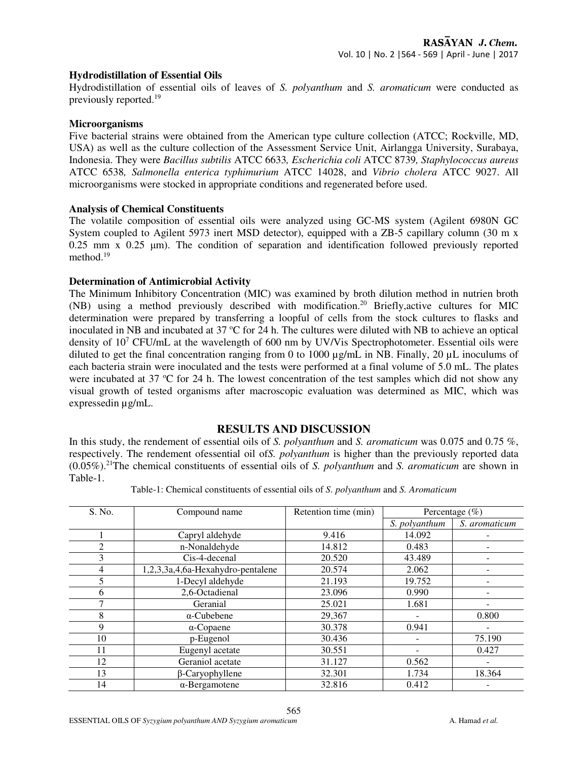#### **Hydrodistillation of Essential Oils**

Hydrodistillation of essential oils of leaves of *S. polyanthum* and *S. aromaticum* were conducted as previously reported.<sup>19</sup>

#### **Microorganisms**

Five bacterial strains were obtained from the American type culture collection (ATCC; Rockville, MD, USA) as well as the culture collection of the Assessment Service Unit, Airlangga University, Surabaya, Indonesia. They were *Bacillus subtilis* ATCC 6633*, Escherichia coli* ATCC 8739*, Staphylococcus aureus*  ATCC 6538*, Salmonella enterica typhimurium* ATCC 14028, and *Vibrio cholera* ATCC 9027. All microorganisms were stocked in appropriate conditions and regenerated before used.

#### **Analysis of Chemical Constituents**

The volatile composition of essential oils were analyzed using GC-MS system (Agilent 6980N GC System coupled to Agilent 5973 inert MSD detector), equipped with a ZB-5 capillary column (30 m x  $0.25$  mm x  $0.25$  µm). The condition of separation and identification followed previously reported method.<sup>19</sup>

#### **Determination of Antimicrobial Activity**

The Minimum Inhibitory Concentration (MIC) was examined by broth dilution method in nutrien broth (NB) using a method previously described with modification.<sup>20</sup> Briefly,active cultures for MIC determination were prepared by transferring a loopful of cells from the stock cultures to flasks and inoculated in NB and incubated at  $37 \text{ °C}$  for 24 h. The cultures were diluted with NB to achieve an optical density of 10<sup>7</sup> CFU/mL at the wavelength of 600 nm by UV/Vis Spectrophotometer. Essential oils were diluted to get the final concentration ranging from 0 to 1000 µg/mL in NB. Finally, 20 µL inoculums of each bacteria strain were inoculated and the tests were performed at a final volume of 5.0 mL. The plates were incubated at 37  $\degree$ C for 24 h. The lowest concentration of the test samples which did not show any visual growth of tested organisms after macroscopic evaluation was determined as MIC, which was expressedin µg/mL.

# **RESULTS AND DISCUSSION**

In this study, the rendement of essential oils of *S. polyanthum* and *S. aromaticum* was 0.075 and 0.75 %, respectively. The rendement ofessential oil of*S. polyanthum* is higher than the previously reported data (0.05%).<sup>21</sup>The chemical constituents of essential oils of *S. polyanthum* and *S. aromaticum* are shown in Table-1.

| S. No. | Compound name                     | Retention time (min) | Percentage $(\% )$ |               |
|--------|-----------------------------------|----------------------|--------------------|---------------|
|        |                                   |                      | S. polyanthum      | S. aromaticum |
|        | Capryl aldehyde                   | 9.416                | 14.092             |               |
| 2      | n-Nonaldehyde                     | 14.812               | 0.483              |               |
| 3      | Cis-4-decenal                     | 20.520               | 43.489             |               |
| 4      | 1,2,3,3a,4,6a-Hexahydro-pentalene | 20.574               | 2.062              |               |
|        | 1-Decyl aldehyde                  | 21.193               | 19.752             |               |
| 6      | 2,6-Octadienal                    | 23.096               | 0.990              |               |
|        | Geranial                          | 25.021               | 1.681              |               |
| 8      | $\alpha$ -Cubebene                | 29,367               |                    | 0.800         |
| 9      | $\alpha$ -Copaene                 | 30.378               | 0.941              |               |
| 10     | p-Eugenol                         | 30.436               |                    | 75.190        |
| 11     | Eugenyl acetate                   | 30.551               |                    | 0.427         |
| 12     | Geraniol acetate                  | 31.127               | 0.562              |               |
| 13     | $\beta$ -Caryophyllene            | 32.301               | 1.734              | 18.364        |
| 14     | $\alpha$ -Bergamotene             | 32.816               | 0.412              |               |

Table-1: Chemical constituents of essential oils of *S. polyanthum* and *S. Aromaticum*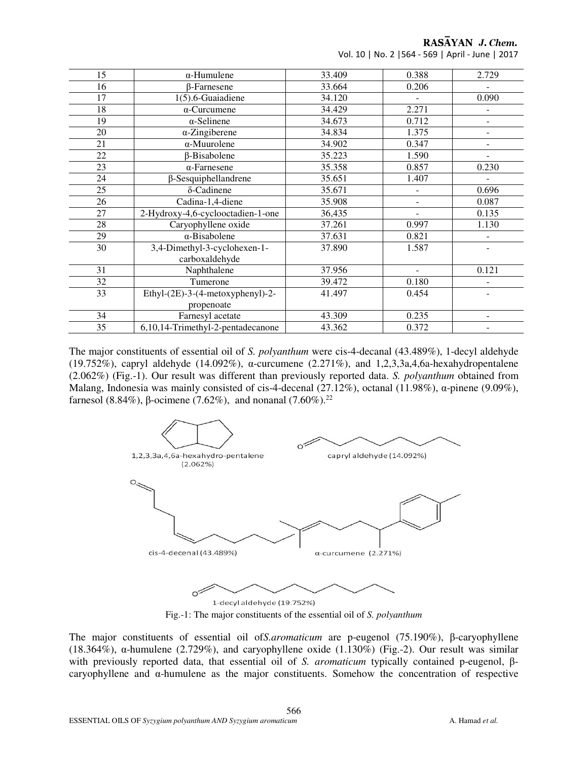RASAYAN J. Chem.

| Vol. 10   No. 2   564 - 569   April - June   2017 |  |
|---------------------------------------------------|--|
|---------------------------------------------------|--|

| $\alpha$ -Humulene                | 33.409                        | 0.388                    | 2.729                    |
|-----------------------------------|-------------------------------|--------------------------|--------------------------|
| <b>B-Farnesene</b>                | 33.664                        | 0.206                    |                          |
| $1(5)$ .6-Guaiadiene              | 34.120                        | ÷                        | 0.090                    |
| $\alpha$ -Curcumene               | 34.429                        | 2.271                    | $\overline{\phantom{a}}$ |
| $\alpha$ -Selinene                | 34.673                        | 0.712                    |                          |
| $\alpha$ -Zingiberene             | 34.834                        | 1.375                    |                          |
| $\alpha$ -Muurolene               | 34.902                        | 0.347                    | $\overline{a}$           |
| $\beta$ -Bisabolene               | 35.223                        | 1.590                    | $\blacksquare$           |
| $\alpha$ -Farnesene               | 35.358                        | 0.857                    | 0.230                    |
| $\beta$ -Sesquiphellandrene       | 35.651                        | 1.407                    |                          |
| $\delta$ -Cadinene                | 35.671                        |                          | 0.696                    |
| Cadina-1,4-diene                  | 35.908                        | -                        | 0.087                    |
| 2-Hydroxy-4,6-cyclooctadien-1-one | 36,435                        | $\overline{\phantom{0}}$ | 0.135                    |
| Caryophyllene oxide               | 37.261                        | 0.997                    | 1.130                    |
| $\alpha$ -Bisabolene              | 37.631                        | 0.821                    |                          |
| 3,4-Dimethyl-3-cyclohexen-1-      | 37.890                        | 1.587                    |                          |
|                                   |                               |                          |                          |
|                                   |                               |                          | 0.121                    |
| Tumerone                          | 39.472                        | 0.180                    | $\overline{\phantom{a}}$ |
| Ethyl-(2E)-3-(4-metoxyphenyl)-2-  | 41.497                        | 0.454                    |                          |
| propenoate                        |                               |                          |                          |
| Farnesyl acetate                  | 43.309                        | 0.235                    |                          |
| 6,10,14-Trimethyl-2-pentadecanone | 43.362                        | 0.372                    |                          |
|                                   | carboxaldehyde<br>Naphthalene | 37.956                   |                          |

The major constituents of essential oil of *S. polyanthum* were cis-4-decanal (43.489%), 1-decyl aldehyde (19.752%), capryl aldehyde (14.092%), α-curcumene (2.271%), and 1,2,3,3a,4,6a-hexahydropentalene (2.062%) (Fig.-1). Our result was different than previously reported data. *S. polyanthum* obtained from Malang, Indonesia was mainly consisted of cis-4-decenal (27.12%), octanal (11.98%),  $\alpha$ -pinene (9.09%), farnesol (8.84%), β-ocimene (7.62%), and nonanal (7.60%).<sup>22</sup>



Fig.-1: The major constituents of the essential oil of *S. polyanthum* 

The major constituents of essential oil of*S.aromaticum* are p-eugenol (75.190%), β-caryophyllene (18.364%), α-humulene (2.729%), and caryophyllene oxide (1.130%) (Fig.-2). Our result was similar with previously reported data, that essential oil of *S. aromaticum* typically contained p-eugenol, βcaryophyllene and α-humulene as the major constituents. Somehow the concentration of respective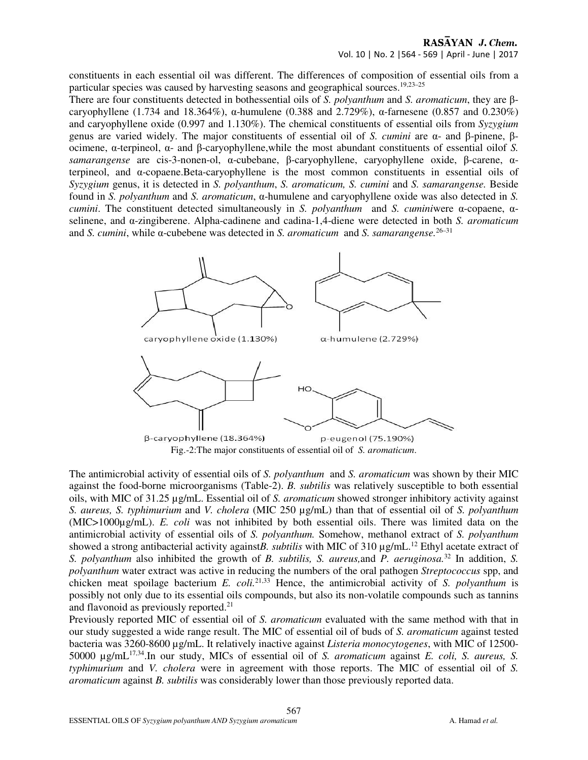#### RASAYAN J. Chem. Vol. 10 | No. 2 |564 - 569 | April - June | 2017

constituents in each essential oil was different. The differences of composition of essential oils from a particular species was caused by harvesting seasons and geographical sources.<sup>19,23-25</sup>

There are four constituents detected in bothessential oils of *S. polyanthum* and *S. aromaticum*, they are βcaryophyllene (1.734 and 18.364%), α-humulene (0.388 and 2.729%), α-farnesene (0.857 and 0.230%) and caryophyllene oxide (0.997 and 1.130%). The chemical constituents of essential oils from *Syzygium* genus are varied widely. The major constituents of essential oil of *S. cumini* are α- and β-pinene, βocimene, α-terpineol, α- and β-caryophyllene,while the most abundant constituents of essential oilof *S. samarangense* are cis-3-nonen-ol, α-cubebane, β-caryophyllene, caryophyllene oxide, β-carene, αterpineol, and α-copaene.Beta-caryophyllene is the most common constituents in essential oils of *Syzygium* genus, it is detected in *S. polyanthum*, *S. aromaticum, S. cumini* and *S. samarangense.* Beside found in *S. polyanthum* and *S. aromaticum*, α-humulene and caryophyllene oxide was also detected in *S. cumini*. The constituent detected simultaneously in *S. polyanthum* and *S. cumini*were α-copaene, αselinene, and α-zingiberene. Alpha-cadinene and cadina-1,4-diene were detected in both *S. aromaticum* and *S. cumini*, while α-cubebene was detected in *S. aromaticum* and *S. samarangense.*26–31



The antimicrobial activity of essential oils of *S. polyanthum* and *S. aromaticum* was shown by their MIC against the food-borne microorganisms (Table-2). *B. subtilis* was relatively susceptible to both essential oils, with MIC of 31.25 µg/mL. Essential oil of *S. aromaticum* showed stronger inhibitory activity against *S. aureus, S. typhimurium* and *V. cholera* (MIC 250 µg/mL) than that of essential oil of *S. polyanthum*  (MIC>1000µg/mL). *E. coli* was not inhibited by both essential oils. There was limited data on the antimicrobial activity of essential oils of *S. polyanthum.* Somehow, methanol extract of *S. polyanthum* showed a strong antibacterial activity against*B*. *subtilis* with MIC of 310  $\mu$ g/mL.<sup>12</sup> Ethyl acetate extract of *S. polyanthum* also inhibited the growth of *B. subtilis, S. aureus,*and *P. aeruginosa.*<sup>32</sup> In addition, *S. polyanthum* water extract was active in reducing the numbers of the oral pathogen *Streptococcus* spp, and chicken meat spoilage bacterium *E. coli.*21,33 Hence, the antimicrobial activity of *S. polyanthum* is possibly not only due to its essential oils compounds, but also its non-volatile compounds such as tannins and flavonoid as previously reported.<sup>21</sup>

Previously reported MIC of essential oil of *S. aromaticum* evaluated with the same method with that in our study suggested a wide range result. The MIC of essential oil of buds of *S. aromaticum* against tested bacteria was 3260-8600 µg/mL. It relatively inactive against *Listeria monocytogenes*, with MIC of 12500- 50000 µg/mL17,34.In our study, MICs of essential oil of *S. aromaticum* against *E. coli, S. aureus, S. typhimurium* and *V. cholera* were in agreement with those reports. The MIC of essential oil of *S. aromaticum* against *B. subtilis* was considerably lower than those previously reported data.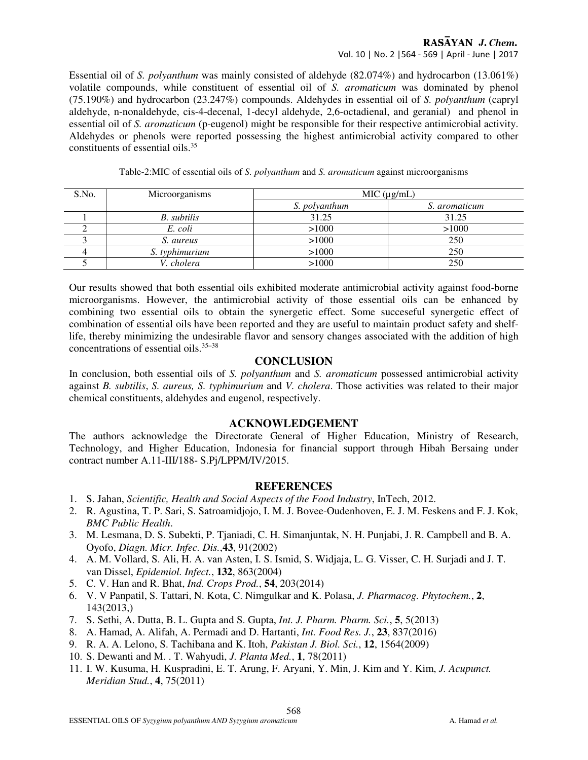# RASAYAN J. Chem.

Vol. 10 | No. 2 |564 - 569 | April - June | 2017

Essential oil of *S. polyanthum* was mainly consisted of aldehyde (82.074%) and hydrocarbon (13.061%) volatile compounds, while constituent of essential oil of *S. aromaticum* was dominated by phenol (75.190%) and hydrocarbon (23.247%) compounds. Aldehydes in essential oil of *S. polyanthum* (capryl aldehyde, n-nonaldehyde, cis-4-decenal, 1-decyl aldehyde, 2,6-octadienal, and geranial) and phenol in essential oil of *S. aromaticum* (p-eugenol) might be responsible for their respective antimicrobial activity. Aldehydes or phenols were reported possessing the highest antimicrobial activity compared to other constituents of essential oils.<sup>35</sup>

| S.No. | Microorganisms     | MIC (µg/mL)   |               |  |
|-------|--------------------|---------------|---------------|--|
|       |                    | S. polyanthum | S. aromaticum |  |
|       | <b>B.</b> subtilis | 31.25         | 31.25         |  |
|       | E. coli            | >1000         | >1000         |  |
|       | S. aureus          | >1000         | 250           |  |
|       | S. typhimurium     | >1000         | 250           |  |
|       | V. cholera         | >1000         | 250           |  |

Table-2:MIC of essential oils of *S. polyanthum* and *S. aromaticum* against microorganisms

Our results showed that both essential oils exhibited moderate antimicrobial activity against food-borne microorganisms. However, the antimicrobial activity of those essential oils can be enhanced by combining two essential oils to obtain the synergetic effect. Some succeseful synergetic effect of combination of essential oils have been reported and they are useful to maintain product safety and shelflife, thereby minimizing the undesirable flavor and sensory changes associated with the addition of high concentrations of essential oils.<sup>35–38</sup>

# **CONCLUSION**

In conclusion, both essential oils of *S. polyanthum* and *S. aromaticum* possessed antimicrobial activity against *B. subtilis*, *S. aureus, S. typhimurium* and *V. cholera*. Those activities was related to their major chemical constituents, aldehydes and eugenol, respectively.

# **ACKNOWLEDGEMENT**

The authors acknowledge the Directorate General of Higher Education, Ministry of Research, Technology, and Higher Education, Indonesia for financial support through Hibah Bersaing under contract number A.11-III/188- S.Pj/LPPM/IV/2015.

# **REFERENCES**

- 1. S. Jahan, *Scientific, Health and Social Aspects of the Food Industry*, InTech, 2012.
- 2. R. Agustina, T. P. Sari, S. Satroamidjojo, I. M. J. Bovee-Oudenhoven, E. J. M. Feskens and F. J. Kok, *BMC Public Health*.
- 3. M. Lesmana, D. S. Subekti, P. Tjaniadi, C. H. Simanjuntak, N. H. Punjabi, J. R. Campbell and B. A. Oyofo, *Diagn. Micr. Infec. Dis.*,**43**, 91(2002)
- 4. A. M. Vollard, S. Ali, H. A. van Asten, I. S. Ismid, S. Widjaja, L. G. Visser, C. H. Surjadi and J. T. van Dissel, *Epidemiol. Infect.*, **132**, 863(2004)
- 5. C. V. Han and R. Bhat, *Ind. Crops Prod.*, **54**, 203(2014)
- 6. V. V Panpatil, S. Tattari, N. Kota, C. Nimgulkar and K. Polasa, *J. Pharmacog. Phytochem.*, **2**, 143(2013,)
- 7. S. Sethi, A. Dutta, B. L. Gupta and S. Gupta, *Int. J. Pharm. Pharm. Sci.*, **5**, 5(2013)
- 8. A. Hamad, A. Alifah, A. Permadi and D. Hartanti, *Int. Food Res. J.*, **23**, 837(2016)
- 9. R. A. A. Lelono, S. Tachibana and K. Itoh, *Pakistan J. Biol. Sci.*, **12**, 1564(2009)
- 10. S. Dewanti and M. . T. Wahyudi, *J. Planta Med.*, **1**, 78(2011)
- 11. I. W. Kusuma, H. Kuspradini, E. T. Arung, F. Aryani, Y. Min, J. Kim and Y. Kim, *J. Acupunct. Meridian Stud.*, **4**, 75(2011)